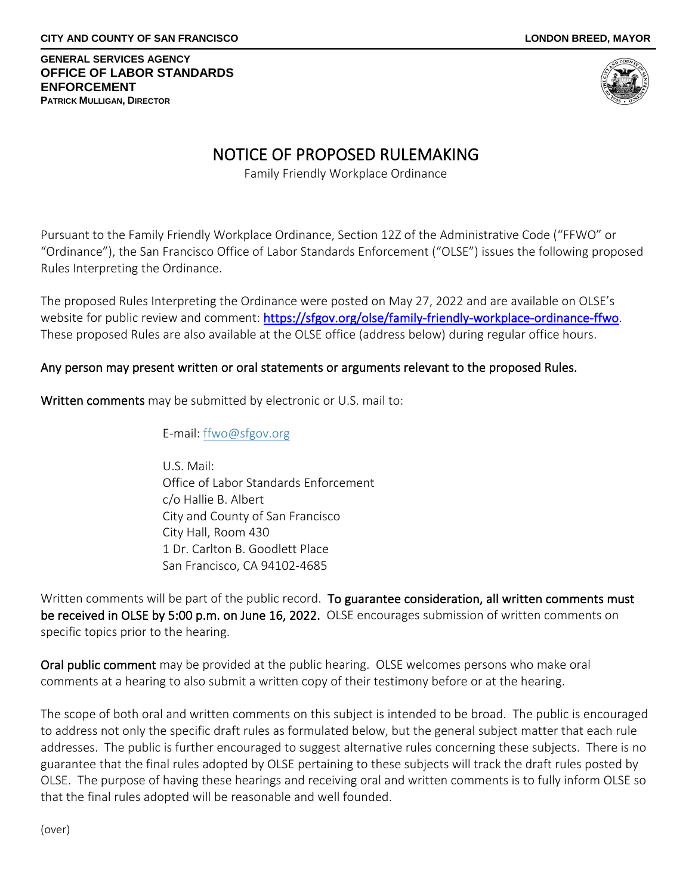## **GENERAL SERVICES AGENCY OFFICE OF LABOR STANDARDS ENFORCEMENT PATRICK MULLIGAN, DIRECTOR**

# NOTICE OF PROPOSED RULEMAKING Family Friendly Workplace Ordinance

Pursuant to the Family Friendly Workplace Ordinance, Section 12Z of the Administrative Code ("FFWO" or "Ordinance"), the San Francisco Office of Labor Standards Enforcement ("OLSE") issues the following proposed Rules Interpreting the Ordinance.

The proposed Rules Interpreting the Ordinance were posted on May 27, 2022 and are available on OLSE's website for public review and comment: [https://sfgov.org/olse/family-friendly-workplace-ordinance-ffwo.](https://sfgov.org/olse/family-friendly-workplace-ordinance-ffwo) These proposed Rules are also available at the OLSE office (address below) during regular office hours.

# Any person may present written or oral statements or arguments relevant to the proposed Rules.

Written comments may be submitted by electronic or U.S. mail to:

E-mail: [ffwo@sfgov.org](mailto:FFWO@sfgov.org)

U.S. Mail: Office of Labor Standards Enforcement c/o Hallie B. Albert City and County of San Francisco City Hall, Room 430 1 Dr. Carlton B. Goodlett Place San Francisco, CA 94102-4685

Written comments will be part of the public record. To guarantee consideration, all written comments must be received in OLSE by 5:00 p.m. on June 16, 2022. OLSE encourages submission of written comments on specific topics prior to the hearing.

Oral public comment may be provided at the public hearing. OLSE welcomes persons who make oral comments at a hearing to also submit a written copy of their testimony before or at the hearing.

The scope of both oral and written comments on this subject is intended to be broad. The public is encouraged to address not only the specific draft rules as formulated below, but the general subject matter that each rule addresses. The public is further encouraged to suggest alternative rules concerning these subjects. There is no guarantee that the final rules adopted by OLSE pertaining to these subjects will track the draft rules posted by OLSE. The purpose of having these hearings and receiving oral and written comments is to fully inform OLSE so that the final rules adopted will be reasonable and well founded.

(over)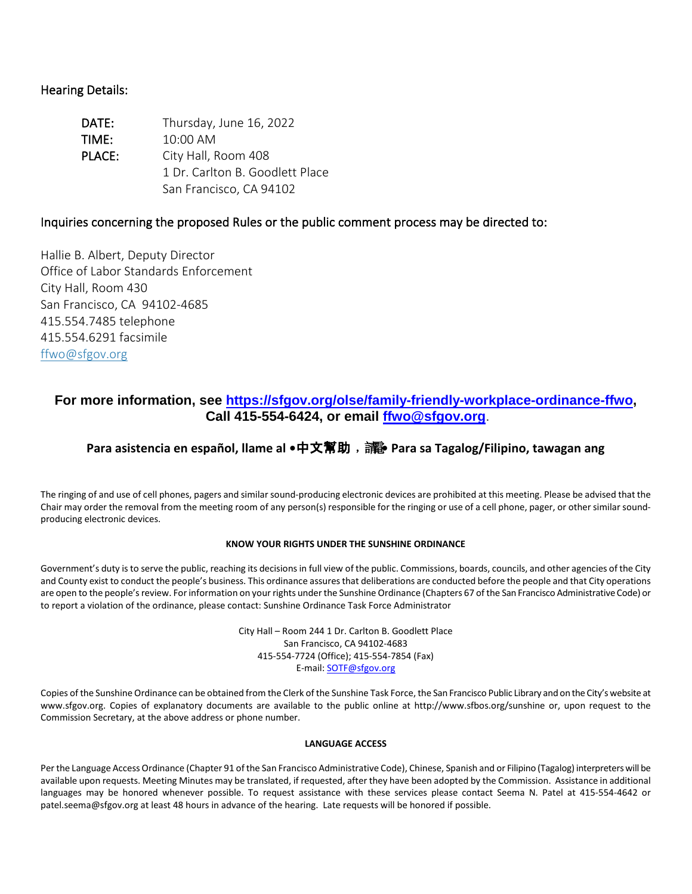## Hearing Details:

| DATE:  | Thursday, June 16, 2022         |
|--------|---------------------------------|
| TIME:  | 10:00 AM                        |
| PLACE: | City Hall, Room 408             |
|        | 1 Dr. Carlton B. Goodlett Place |
|        | San Francisco, CA 94102         |

## Inquiries concerning the proposed Rules or the public comment process may be directed to:

Hallie B. Albert, Deputy Director Office of Labor Standards Enforcement City Hall, Room 430 San Francisco, CA 94102-4685 415.554.7485 telephone 415.554.6291 facsimile [ffwo@sfgov.org](mailto:FFWO@sfgov.org)

## **For more information, see [https://sfgov.org/olse/family-friendly-workplace-ordinance-ffwo,](https://sfgov.org/olse/family-friendly-workplace-ordinance-ffwo) Call 415-554-6424, or email [ffwo@sfgov.org](mailto:ffwo@sfgov.org)**.

# **Para asistencia en español, llame al •**中文幫助﹐請電**• Para sa Tagalog/Filipino, tawagan ang**

The ringing of and use of cell phones, pagers and similar sound-producing electronic devices are prohibited at this meeting. Please be advised that the Chair may order the removal from the meeting room of any person(s) responsible for the ringing or use of a cell phone, pager, or other similar soundproducing electronic devices.

## **KNOW YOUR RIGHTS UNDER THE SUNSHINE ORDINANCE**

Government's duty is to serve the public, reaching its decisions in full view of the public. Commissions, boards, councils, and other agencies of the City and County exist to conduct the people's business. This ordinance assures that deliberations are conducted before the people and that City operations are open to the people's review. For information on your rights under the Sunshine Ordinance (Chapters 67 of the San Francisco Administrative Code) or to report a violation of the ordinance, please contact: Sunshine Ordinance Task Force Administrator

> City Hall – Room 244 1 Dr. Carlton B. Goodlett Place San Francisco, CA 94102-4683 415-554-7724 (Office); 415-554-7854 (Fax) E-mail[: SOTF@sfgov.org](mailto:SOTF@sfgov.org)

Copies of the Sunshine Ordinance can be obtained from the Clerk of the Sunshine Task Force, the San Francisco Public Library and on the City's website at www.sfgov.org. Copies of explanatory documents are available to the public online at [http://www.sfbos.org/sunshine](http://www.sfgov.org/sunshine) or, upon request to the Commission Secretary, at the above address or phone number.

## **LANGUAGE ACCESS**

Per the Language Access Ordinance (Chapter 91 of the San Francisco Administrative Code), Chinese, Spanish and or Filipino (Tagalog) interpreters will be available upon requests. Meeting Minutes may be translated, if requested, after they have been adopted by the Commission. Assistance in additional languages may be honored whenever possible. To request assistance with these services please contact Seema N. Patel at 415-554-4642 or patel.seema@sfgov.org at least 48 hours in advance of the hearing. Late requests will be honored if possible.